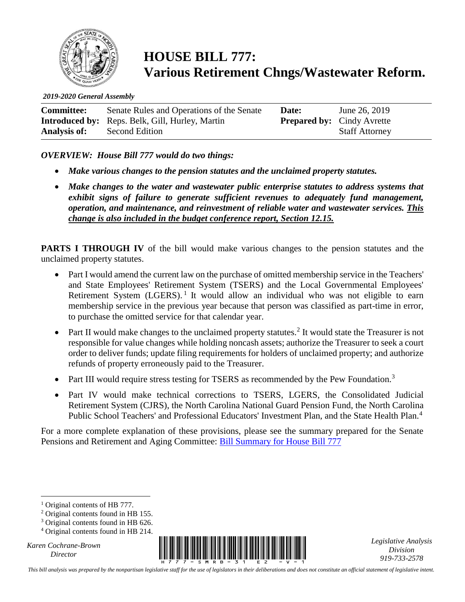

**HOUSE BILL 777: Various Retirement Chngs/Wastewater Reform.**

*2019-2020 General Assembly*

| <b>Committee:</b>   | Senate Rules and Operations of the Senate              | Date: | June 26, 2019                     |
|---------------------|--------------------------------------------------------|-------|-----------------------------------|
|                     | <b>Introduced by:</b> Reps. Belk, Gill, Hurley, Martin |       | <b>Prepared by:</b> Cindy Avrette |
| <b>Analysis of:</b> | Second Edition                                         |       | <b>Staff Attorney</b>             |

*OVERVIEW: House Bill 777 would do two things:*

- *Make various changes to the pension statutes and the unclaimed property statutes.*
- *Make changes to the water and wastewater public enterprise statutes to address systems that exhibit signs of failure to generate sufficient revenues to adequately fund management, operation, and maintenance, and reinvestment of reliable water and wastewater services. This change is also included in the budget conference report, Section 12.15.*

**PARTS I THROUGH IV** of the bill would make various changes to the pension statutes and the unclaimed property statutes.

- Part I would amend the current law on the purchase of omitted membership service in the Teachers' and State Employees' Retirement System (TSERS) and the Local Governmental Employees' Retirement System  $(LGERS)$ .<sup>1</sup> It would allow an individual who was not eligible to earn membership service in the previous year because that person was classified as part-time in error, to purchase the omitted service for that calendar year.
- Part II would make changes to the unclaimed property statutes.<sup>2</sup> It would state the Treasurer is not responsible for value changes while holding noncash assets; authorize the Treasurer to seek a court order to deliver funds; update filing requirements for holders of unclaimed property; and authorize refunds of property erroneously paid to the Treasurer.
- Part III would require stress testing for TSERS as recommended by the Pew Foundation.<sup>3</sup>
- Part IV would make technical corrections to TSERS, LGERS, the Consolidated Judicial Retirement System (CJRS), the North Carolina National Guard Pension Fund, the North Carolina Public School Teachers' and Professional Educators' Investment Plan, and the State Health Plan.<sup>4</sup>

For a more complete explanation of these provisions, please see the summary prepared for the Senate Pensions and Retirement and Aging Committee: [Bill Summary for House Bill 777](https://dashboard.ncleg.net/api/Services/BillSummary/2019/H777-SMTV-73(CSTVxfp-34)-v-2)

*Karen Cochrane-Brown*

 $\overline{a}$ 



*Legislative Analysis Division 919-733-2578*

*This bill analysis was prepared by the nonpartisan legislative staff for the use of legislators in their deliberations and does not constitute an official statement of legislative intent.*

<sup>&</sup>lt;sup>1</sup> Original contents of HB 777.

<sup>2</sup> Original contents found in HB 155.

<sup>&</sup>lt;sup>3</sup> Original contents found in HB 626.

<sup>4</sup> Original contents found in HB 214.